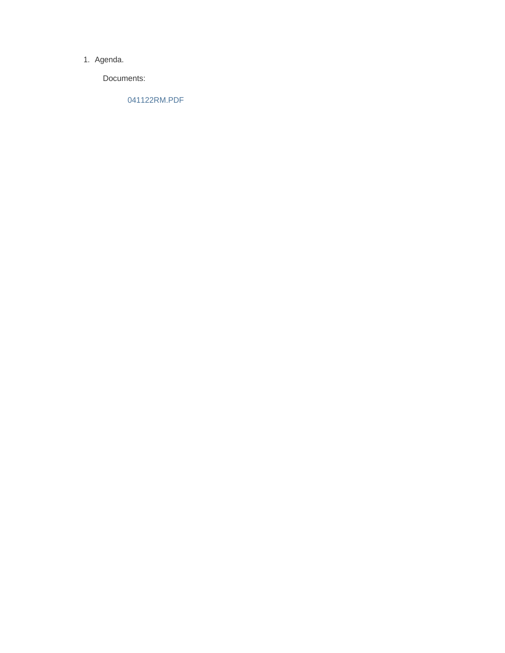#### 1. Agenda.

Documents:

041122RM.PDF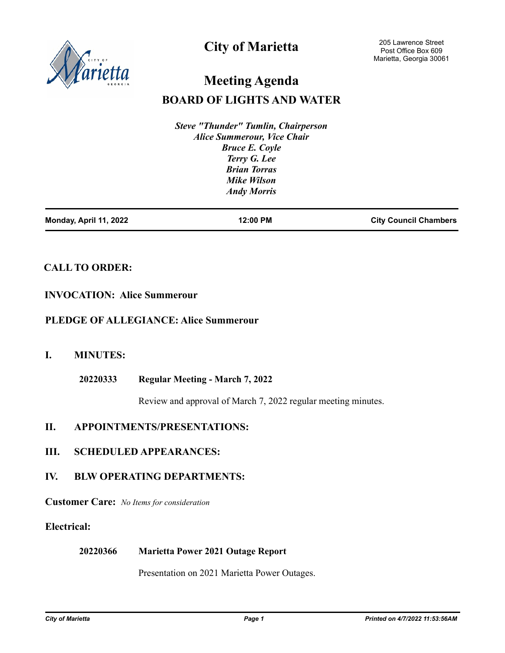

# **City of Marietta**

# **Meeting Agenda**

# **BOARD OF LIGHTS AND WATER**

*Steve "Thunder" Tumlin, Chairperson Alice Summerour, Vice Chair Bruce E. Coyle Terry G. Lee Brian Torras Mike Wilson Andy Morris*

| Monday, April 11, 2022 | 12:00 PM | <b>City Council Chambers</b> |
|------------------------|----------|------------------------------|
|                        |          |                              |

# **CALL TO ORDER:**

### **INVOCATION: Alice Summerour**

### **PLEDGE OF ALLEGIANCE: Alice Summerour**

# **I. MINUTES:**

**Regular Meeting - March 7, 2022 20220333**

Review and approval of March 7, 2022 regular meeting minutes.

# **II. APPOINTMENTS/PRESENTATIONS:**

### **III. SCHEDULED APPEARANCES:**

# **IV. BLW OPERATING DEPARTMENTS:**

**Customer Care:** *No Items for consideration*

# **Electrical:**

#### **Marietta Power 2021 Outage Report 20220366**

Presentation on 2021 Marietta Power Outages.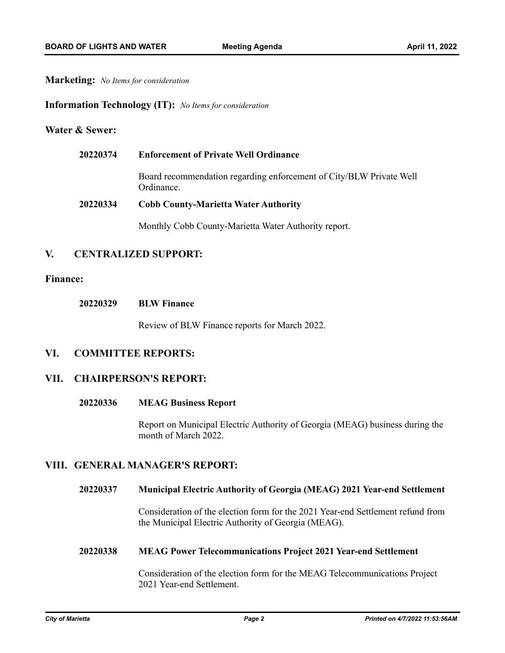#### **Marketing:** *No Items for consideration*

#### **Information Technology (IT):** *No Items for consideration*

#### **Water & Sewer:**

| 20220374 | <b>Enforcement of Private Well Ordinance</b>                                      |  |
|----------|-----------------------------------------------------------------------------------|--|
|          | Board recommendation regarding enforcement of City/BLW Private Well<br>Ordinance. |  |
| 20220334 | <b>Cobb County-Marietta Water Authority</b>                                       |  |
|          | Monthly Cobb County-Marietta Water Authority report.                              |  |

## **V. CENTRALIZED SUPPORT:**

#### **Finance:**

| 20220329 | <b>BLW Finance</b> |
|----------|--------------------|
|----------|--------------------|

Review of BLW Finance reports for March 2022.

### **VI. COMMITTEE REPORTS:**

#### **VII. CHAIRPERSON'S REPORT:**

#### **MEAG Business Report 20220336**

Report on Municipal Electric Authority of Georgia (MEAG) business during the month of March 2022.

#### **VIII. GENERAL MANAGER'S REPORT:**

#### **Municipal Electric Authority of Georgia (MEAG) 2021 Year-end Settlement 20220337**

Consideration of the election form for the 2021 Year-end Settlement refund from the Municipal Electric Authority of Georgia (MEAG).

#### **MEAG Power Telecommunications Project 2021 Year-end Settlement 20220338**

Consideration of the election form for the MEAG Telecommunications Project 2021 Year-end Settlement.